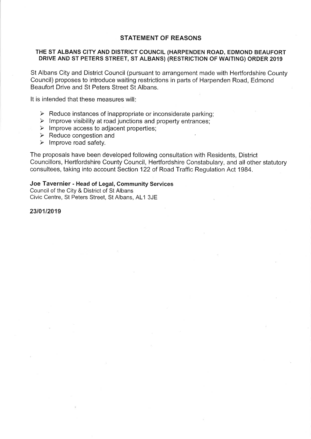## **STATEMENT OF REASONS**

### THE ST ALBANS CITY AND DISTRICT COUNCIL (HARPENDEN ROAD, EDMOND BEAUFORT DRIVE AND ST PETERS STREET, ST ALBANS) (RESTRICTION OF WAITING) ORDER 2019

St Albans City and District Council (pursuant to arrangement made with Hertfordshire County Council) proposes to introduce waiting restrictions in parts of Harpenden Road, Edmond Beaufort Drive and St Peters Street St Albans.

It is intended that these measures will:

- $\triangleright$  Reduce instances of inappropriate or inconsiderate parking:
- $\triangleright$  Improve visibility at road junctions and property entrances;
- $\triangleright$  Improve access to adjacent properties;
- $\triangleright$  Reduce congestion and
- $\triangleright$  Improve road safety.

The proposals have been developed following consultation with Residents, District Councillors, Hertfordshire County Council, Hertfordshire Constabulary, and all other statutory consultees, taking into account Section 122 of Road Traffic Regulation Act 1984.

# Joe Tavernier - Head of Legal, Community Services

Council of the City & District of St Albans Civic Centre, St Peters Street, St Albans, AL1 3JE

### 23/01/2019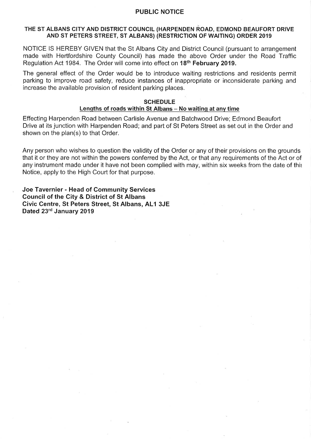### **PUBLIC NOTICE**

### THE ST ALBANS CITY AND DISTRICT COUNCIL (HARPENDEN ROAD, EDMOND BEAUFORT DRIVE AND ST PETERS STREET, ST ALBANS) (RESTRICTION OF WAITING) ORDER 2019

NOTICE IS HEREBY GIVEN that the St Albans City and District Council (pursuant to arrangement made with Hertfordshire County Council) has made the above Order under the Road Traffic Regulation Act 1984. The Order will come into effect on 18<sup>th</sup> February 2019.

The general effect of the Order would be to introduce waiting restrictions and residents permit parking to improve road safety, reduce instances of inappropriate or inconsiderate parking and increase the available provision of resident parking places.

#### **SCHEDULE**

#### Lengths of roads within St Albans - No waiting at any time

Effecting Harpenden Road between Carlisle Avenue and Batchwood Drive; Edmond Beaufort Drive at its junction with Harpenden Road; and part of St Peters Street as set out in the Order and shown on the plan(s) to that Order.

Any person who wishes to question the validity of the Order or any of their provisions on the grounds that it or they are not within the powers conferred by the Act, or that any requirements of the Act or of any instrument made under it have not been complied with may, within six weeks from the date of this Notice, apply to the High Court for that purpose.

Joe Tavernier - Head of Community Services **Council of the City & District of St Albans** Civic Centre, St Peters Street, St Albans, AL1 3JE Dated 23rd January 2019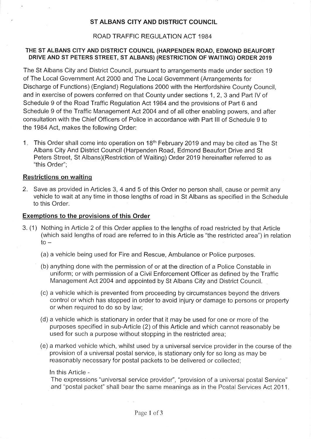# ST ALBANS CITY AND DISTRICT COUNCIL

### ROAD TRAFFIC REGULATION ACT 1984

## THE ST ALBANS CITY AND DISTRICT COUNCIL (HARPENDEN ROAD, EDMOND BEAUFORT DRIVE AND ST PETERS STREET, ST ALBANS) (RESTRICTION OF WAITING) ORDER 2019

The St Albans City and District Council, pursuant to arrangements made under section 19 of The Local Government Act 2000 and The Local Government (Arrangements for Discharge of Functions) (England) Regulations 2000 with the Hertfordshire County Council. and in exercise of powers conferred on that County under sections 1, 2, 3 and Part IV of Schedule 9 of the Road Traffic Regulation Act 1984 and the provisions of Part 6 and Schedule 9 of the Traffic Management Act 2004 and of all other enabling powers, and after consultation with the Chief Officers of Police in accordance with Part III of Schedule 9 to the 1984 Act, makes the following Order:

1. This Order shall come into operation on 18<sup>th</sup> February 2019 and may be cited as The St Albans City And District Council (Harpenden Road, Edmond Beaufort Drive and St Peters Street, St Albans)(Restriction of Waiting) Order 2019 hereinafter referred to as "this Order":

#### **Restrictions on waiting**

2. Save as provided in Articles 3, 4 and 5 of this Order no person shall, cause or permit any vehicle to wait at any time in those lengths of road in St Albans as specified in the Schedule to this Order.

#### **Exemptions to the provisions of this Order**

- 3. (1) Nothing in Article 2 of this Order applies to the lengths of road restricted by that Article (which said lengths of road are referred to in this Article as "the restricted area") in relation  $to -$ 
	- (a) a vehicle being used for Fire and Rescue, Ambulance or Police purposes.
	- (b) anything done with the permission of or at the direction of a Police Constable in uniform; or with permission of a Civil Enforcement Officer as defined by the Traffic Management Act 2004 and appointed by St Albans City and District Council.
	- (c) a vehicle which is prevented from proceeding by circumstances beyond the drivers control or which has stopped in order to avoid injury or damage to persons or property or when required to do so by law;
	- (d) a vehicle which is stationary in order that it may be used for one or more of the purposes specified in sub-Article (2) of this Article and which cannot reasonably be used for such a purpose without stopping in the restricted area;
	- (e) a marked vehicle which, whilst used by a universal service provider in the course of the provision of a universal postal service, is stationary only for so long as may be reasonably necessary for postal packets to be delivered or collected;

In this Article -

The expressions "universal service provider", "provision of a universal postal Service" and "postal packet" shall bear the same meanings as in the Postal Services Act 2011.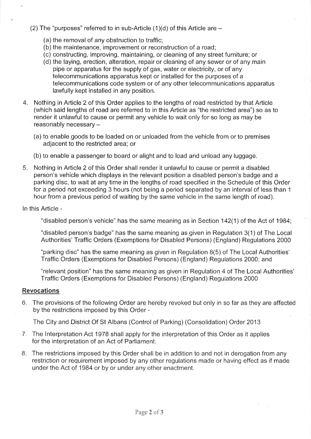- (2) The "purposes" referred to in sub-Article  $(1)(d)$  of this Article are  $-$ 
	- (a) the removal of any obstruction to traffic;
	- (b) the maintenance, improvement or reconstruction of a road;
	- (c) constructing, improving, maintaining, or cleaning of any street furniture; or
	- (d) the laying, erection, alteration, repair or cleaning of any sewer or of any main pipe or apparatus for the supply of gas, water or electricity, or of any telecommunications apparatus kept or installed for the purposes of a telecommunications code system or of any other telecommunications apparatus lawfully kept installed in any position.
- 4. Nothing in Article 2 of this Order applies to the lengths of road restricted by that Article (which said lengths of road are referred to in this Article as "the restricted area") so as to render it unlawful to cause or permit any vehicle to wait only for so long as may be reasonably necessary -
	- (a) to enable goods to be loaded on or unloaded from the vehicle from or to premises adjacent to the restricted area; or
	- (b) to enable a passenger to board or alight and to load and unload any luggage.
- Nothing in Article 2 of this Order shall render it unlawful to cause or permit a disabled 5. person's vehicle which displays in the relevant position a disabled person's badge and a parking disc, to wait at any time in the lengths of road specified in the Schedule of this Order for a period not exceeding 3 hours (not being a period separated by an interval of less than 1 hour from a previous period of waiting by the same vehicle in the same length of road).

In this Article -

"disabled person's vehicle" has the same meaning as in Section 142(1) of the Act of 1984;

"disabled person's badge" has the same meaning as given in Regulation 3(1) of The Local Authorities' Traffic Orders (Exemptions for Disabled Persons) (England) Regulations 2000

"parking disc" has the same meaning as given in Regulation 8(5) of The Local Authorities' Traffic Orders (Exemptions for Disabled Persons) (England) Regulations 2000; and

"relevant position" has the same meaning as given in Regulation 4 of The Local Authorities' Traffic Orders (Exemptions for Disabled Persons) (England) Regulations 2000

# **Revocations**

6. The provisions of the following Order are hereby revoked but only in so far as they are affected by the restrictions imposed by this Order -

The City and District Of St Albans (Control of Parking) (Consolidation) Order 2013

- 7. The Interpretation Act 1978 shall apply for the interpretation of this Order as it applies for the interpretation of an Act of Parliament.
- 8. The restrictions imposed by this Order shall be in addition to and not in derogation from any restriction or requirement imposed by any other regulations made or having effect as if made under the Act of 1984 or by or under any other enactment.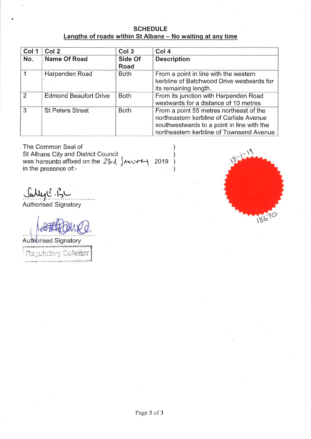**SCHEDULE** Lengths of roads within St Albans - No waiting at any time

| Col 1          | Col 2                        | Col <sub>3</sub>       | Col <sub>4</sub>                                                                                                                                                              |
|----------------|------------------------------|------------------------|-------------------------------------------------------------------------------------------------------------------------------------------------------------------------------|
| No.            | <b>Name Of Road</b>          | Side Of<br><b>Road</b> | <b>Description</b>                                                                                                                                                            |
|                | Harpenden Road               | <b>Both</b>            | From a point in line with the western<br>kerbline of Batchwood Drive westwards for<br>its remaining length.                                                                   |
| $\overline{2}$ | <b>Edmond Beaufort Drive</b> | <b>Both</b>            | From its junction with Harpenden Road<br>westwards for a distance of 10 metres                                                                                                |
| 3              | <b>St Peters Street</b>      | <b>Both</b>            | From a point 55 metres northeast of the<br>northeastern kerbline of Carlisle Avenue<br>southwestwards to a point in line with the<br>northeastern kerbline of Townsend Avenue |

The Common Seal of St Albans City and District Council was hereunto affixed on the  $23r\lambda$   $\delta$ in the presence of:-

Sally & 13

Authorised Signatory

Authorised Signatory

| Ragulatory Collemer |
|---------------------|
|                     |

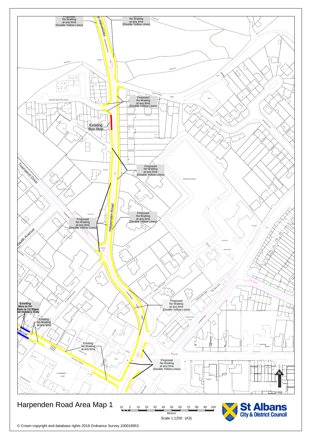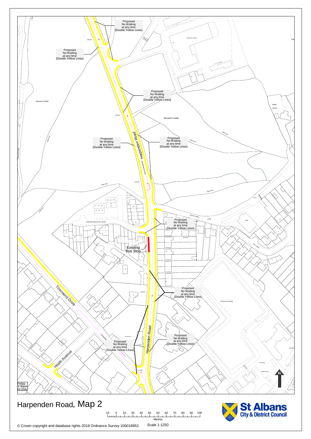